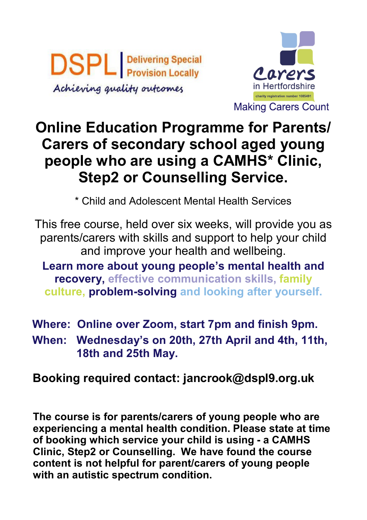**DSPL Delivering Special** Achieving quality outcomes



## **Online Education Programme for Parents/ Carers of secondary school aged young people who are using a CAMHS\* Clinic, Step2 or Counselling Service.**

\* Child and Adolescent Mental Health Services

This free course, held over six weeks, will provide you as parents/carers with skills and support to help your child and improve your health and wellbeing.

**Learn more about young people's mental health and recovery, effective communication skills, family culture, problem-solving and looking after yourself.**

**Where: Online over Zoom, start 7pm and finish 9pm.**

**When: Wednesday's on 20th, 27th April and 4th, 11th, 18th and 25th May.** 

**Booking required contact: jancrook@dspl9.org.uk**

**The course is for parents/carers of young people who are experiencing a mental health condition. Please state at time of booking which service your child is using - a CAMHS Clinic, Step2 or Counselling. We have found the course content is not helpful for parent/carers of young people with an autistic spectrum condition.**